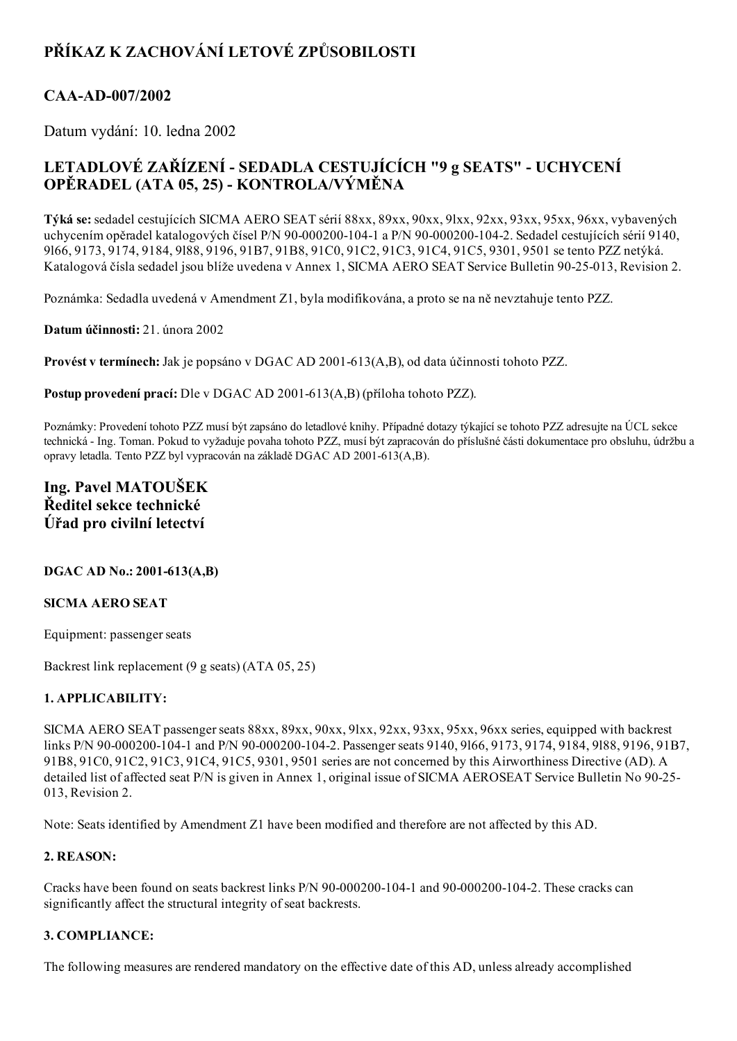# PŘÍKAZ K ZACHOVÁNÍ LETOVÉ ZPŮSOBILOSTI

### CAA-AD-007/2002

Datum vydání: 10. ledna 2002

## LETADLOVÉ ZAŘÍZENÍ - SEDADLA CESTUJÍCÍCH "9 g SEATS" - UCHYCENÍ OPĚRADEL (ATA 05, 25) KONTROLA/VÝMĚNA

Týká se:sedadel cestujících SICMA AERO SEAT sérií 88xx, 89xx, 90xx, 9lxx, 92xx, 93xx, 95xx, 96xx, vybavených uchycením opěradel katalogových čísel P/N 90-000200-104-1 a P/N 90-000200-104-2. Sedadel cestujících sérií 9140, 9l66, 9173, 9174, 9184, 9l88, 9196, 91B7, 91B8, 91C0, 91C2, 91C3, 91C4, 91C5, 9301, 9501 se tento PZZ netýká. Katalogová čísla sedadel jsou blíže uvedena v Annex 1, SICMA AERO SEAT Service Bulletin 90-25-013, Revision 2.

Poznámka: Sedadla uvedená v Amendment Z1, byla modifikována, a proto se na ně nevztahuje tento PZZ.

Datum účinnosti: 21. února 2002

Provést v termínech: Jak je popsáno v DGAC AD 2001-613(A,B), od data účinnosti tohoto PZZ.

Postup provedení prací: Dle v DGAC AD 2001-613(A,B) (příloha tohoto PZZ).

Poznámky: Provedení tohoto PZZ musí být zapsáno do letadlové knihy. Případné dotazy týkající se tohoto PZZ adresujte na ÚCL sekce technická Ing. Toman. Pokud to vyžaduje povaha tohoto PZZ, musí být zapracován do příslušné části dokumentace pro obsluhu, údržbu a opravy letadla. Tento PZZ byl vypracován na základě DGAC AD 2001-613(A,B).

### Ing. Pavel MATOUŠEK Ředitel sekce technické Úřad pro civilní letectví

#### $DGAC AD No.: 2001-613(A,B)$

#### SICMA AERO SEAT

Equipment: passenger seats

Backrest link replacement (9 g seats) (ATA 05, 25)

#### 1. APPLICABILITY:

SICMA AERO SEAT passenger seats 88xx, 89xx, 90xx, 91xx, 92xx, 93xx, 95xx, 96xx series, equipped with backrest links P/N 90-000200-104-1 and P/N 90-000200-104-2. Passenger seats 9140, 9166, 9173, 9174, 9184, 9188, 9196, 91B7, 91B8, 91C0, 91C2, 91C3, 91C4, 91C5, 9301, 9501 series are not concerned by this Airworthiness Directive (AD). A detailed list of affected seat P/N is given in Annex 1, original issue of SICMA AEROSEAT Service Bulletin No 90-25-013, Revision 2.

Note: Seats identified by Amendment Z1 have been modified and therefore are not affected by this AD.

#### 2. REASON:

Cracks have been found on seats backrest links  $P/N$  90-000200-104-1 and 90-000200-104-2. These cracks can significantly affect the structural integrity of seat backrests.

#### 3. COMPLIANCE:

The following measures are rendered mandatory on the effective date of this AD, unless already accomplished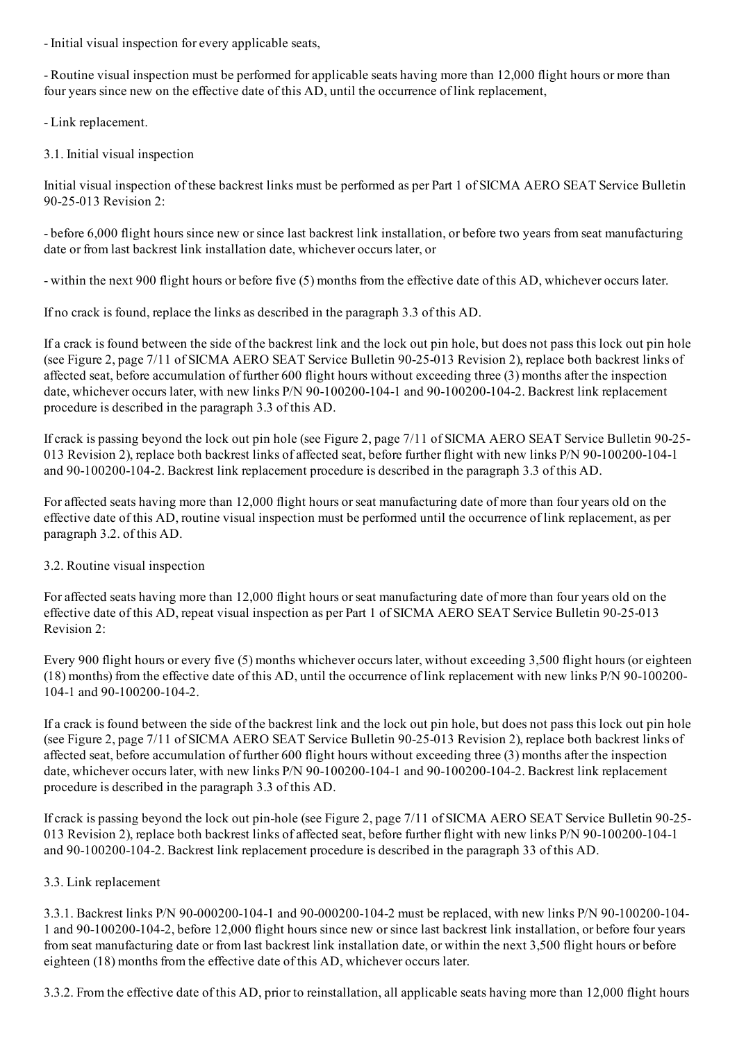- Initial visual inspection for every applicable seats,

 Routine visual inspection must be performed for applicable seats having more than 12,000 flight hours or more than four years since new on the effective date of this AD, until the occurrence of link replacement,

Link replacement.

3.1. Initial visual inspection

Initial visual inspection of these backrest links must be performed as per Part 1 of SICMA AERO SEAT Service Bulletin 90-25-013 Revision 2:

 before 6,000 flight hours since new orsince last backrest link installation, or before two years from seat manufacturing date or from last backrest link installation date, whichever occurs later, or

within the next 900 flight hours or before five (5) months from the effective date of this AD, whichever occurs later.

If no crack is found, replace the links as described in the paragraph 3.3 of this AD.

If a crack is found between the side of the backrest link and the lock out pin hole, but does not pass this lock out pin hole (see Figure 2, page 7/11 of SICMA AERO SEAT Service Bulletin 90-25-013 Revision 2), replace both backrest links of affected seat, before accumulation of further 600 flight hours without exceeding three (3) months after the inspection date, whichever occurs later, with new links P/N 90-100200-104-1 and 90-100200-104-2. Backrest link replacement procedure is described in the paragraph 3.3 of this AD.

If crack is passing beyond the lock out pin hole (see Figure 2, page 7/11 of SICMA AERO SEAT Service Bulletin 9025 013 Revision 2), replace both backrest links of affected seat, before further flight with new links P/N 90-100200-104-1 and 90-100200-104-2. Backrest link replacement procedure is described in the paragraph 3.3 of this AD.

For affected seats having more than 12,000 flight hours orseat manufacturing date of more than four years old on the effective date of this AD, routine visual inspection must be performed until the occurrence of link replacement, as per paragraph 3.2. of this AD.

#### 3.2. Routine visual inspection

For affected seats having more than 12,000 flight hours orseat manufacturing date of more than four years old on the effective date of this AD, repeat visual inspection as per Part 1 of SICMA AERO SEAT Service Bulletin 90-25-013 Revision 2:

Every 900 flight hours or every five (5) months whichever occurs later, without exceeding 3,500 flight hours (or eighteen  $(18)$  months) from the effective date of this AD, until the occurrence of link replacement with new links P/N 90-100200-104-1 and 90-100200-104-2.

If a crack is found between the side of the backrest link and the lock out pin hole, but does not pass this lock out pin hole (see Figure 2, page 7/11 of SICMA AERO SEAT Service Bulletin 90-25-013 Revision 2), replace both backrest links of affected seat, before accumulation of further 600 flight hours without exceeding three (3) months after the inspection date, whichever occurs later, with new links P/N 90-100200-104-1 and 90-100200-104-2. Backrest link replacement procedure is described in the paragraph 3.3 of this AD.

If crack is passing beyond the lock out pin-hole (see Figure 2, page 7/11 of SICMA AERO SEAT Service Bulletin 90-25-013 Revision 2), replace both backrest links of affected seat, before further flight with new links P/N 90-100200-104-1 and 90-100200-104-2. Backrest link replacement procedure is described in the paragraph 33 of this AD.

#### 3.3. Link replacement

3.3.1. Backrest links P/N 90-000200-104-1 and 90-000200-104-2 must be replaced, with new links P/N 90-100200-104-1 and 90-100200-104-2, before 12,000 flight hours since new or since last backrest link installation, or before four years from seat manufacturing date or from last backrest link installation date, or within the next 3,500 flight hours or before eighteen (18) months from the effective date of this AD, whichever occurs later.

3.3.2. From the effective date of this AD, prior to reinstallation, all applicable seats having more than 12,000 flight hours